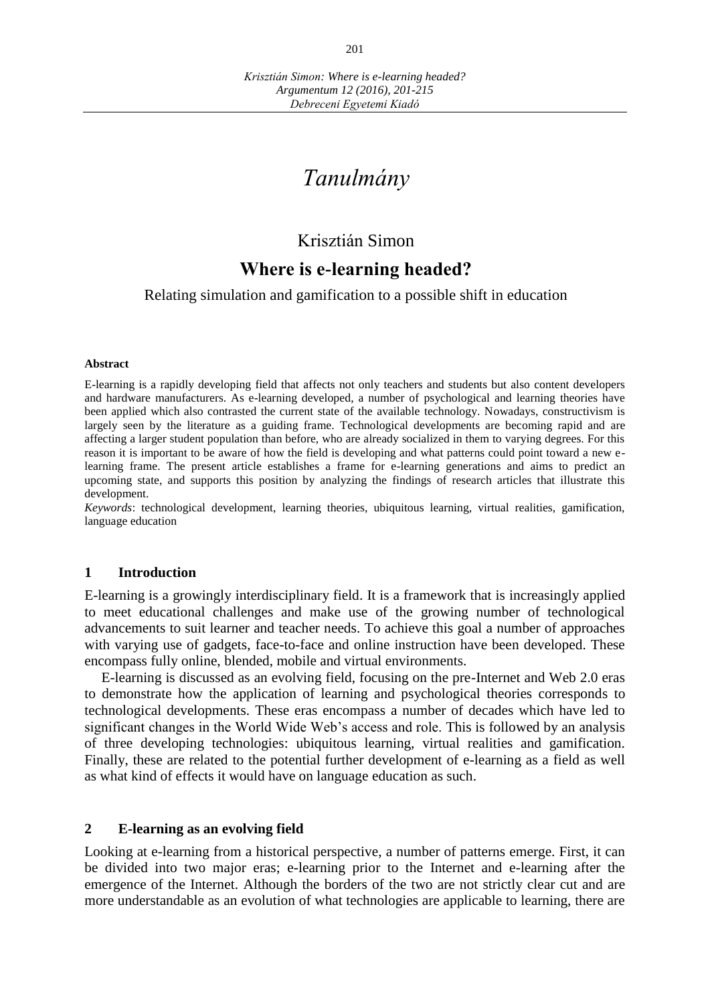# *Tanulmány*

# Krisztián Simon

# **Where is e-learning headed?**

#### Relating simulation and gamification to a possible shift in education

#### **Abstract**

E-learning is a rapidly developing field that affects not only teachers and students but also content developers and hardware manufacturers. As e-learning developed, a number of psychological and learning theories have been applied which also contrasted the current state of the available technology. Nowadays, constructivism is largely seen by the literature as a guiding frame. Technological developments are becoming rapid and are affecting a larger student population than before, who are already socialized in them to varying degrees. For this reason it is important to be aware of how the field is developing and what patterns could point toward a new elearning frame. The present article establishes a frame for e-learning generations and aims to predict an upcoming state, and supports this position by analyzing the findings of research articles that illustrate this development.

*Keywords*: technological development, learning theories, ubiquitous learning, virtual realities, gamification, language education

#### **1 Introduction**

E-learning is a growingly interdisciplinary field. It is a framework that is increasingly applied to meet educational challenges and make use of the growing number of technological advancements to suit learner and teacher needs. To achieve this goal a number of approaches with varying use of gadgets, face-to-face and online instruction have been developed. These encompass fully online, blended, mobile and virtual environments.

E-learning is discussed as an evolving field, focusing on the pre-Internet and Web 2.0 eras to demonstrate how the application of learning and psychological theories corresponds to technological developments. These eras encompass a number of decades which have led to significant changes in the World Wide Web's access and role. This is followed by an analysis of three developing technologies: ubiquitous learning, virtual realities and gamification. Finally, these are related to the potential further development of e-learning as a field as well as what kind of effects it would have on language education as such.

#### **2 E-learning as an evolving field**

Looking at e-learning from a historical perspective, a number of patterns emerge. First, it can be divided into two major eras; e-learning prior to the Internet and e-learning after the emergence of the Internet. Although the borders of the two are not strictly clear cut and are more understandable as an evolution of what technologies are applicable to learning, there are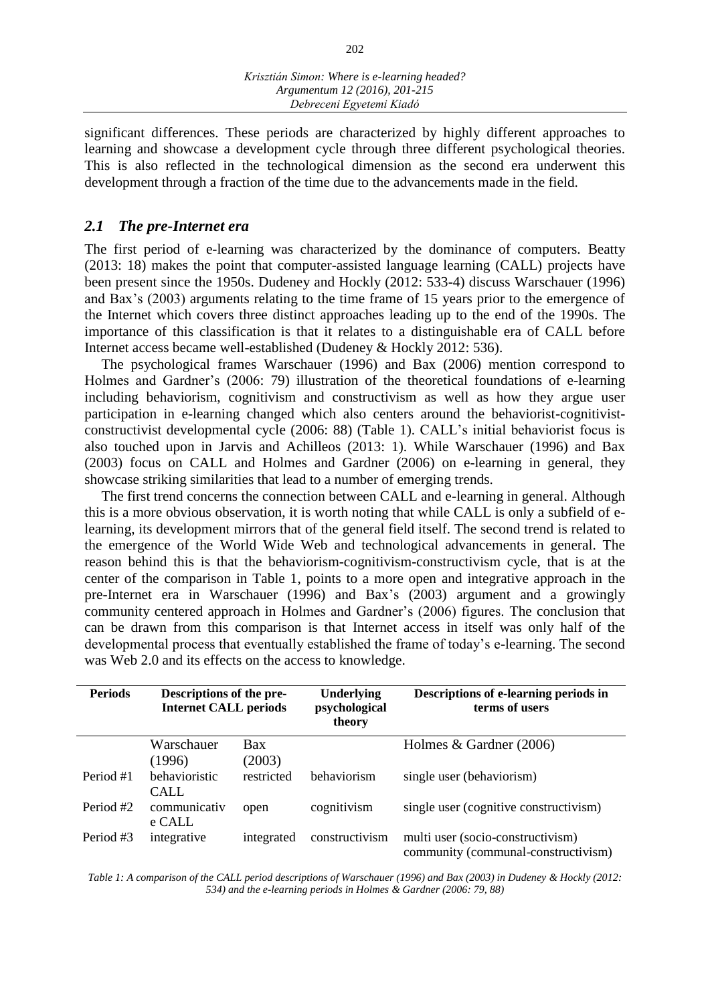significant differences. These periods are characterized by highly different approaches to learning and showcase a development cycle through three different psychological theories. This is also reflected in the technological dimension as the second era underwent this development through a fraction of the time due to the advancements made in the field.

#### *2.1 The pre-Internet era*

The first period of e-learning was characterized by the dominance of computers. Beatty (2013: 18) makes the point that computer-assisted language learning (CALL) projects have been present since the 1950s. Dudeney and Hockly (2012: 533-4) discuss Warschauer (1996) and Bax's (2003) arguments relating to the time frame of 15 years prior to the emergence of the Internet which covers three distinct approaches leading up to the end of the 1990s. The importance of this classification is that it relates to a distinguishable era of CALL before Internet access became well-established (Dudeney & Hockly 2012: 536).

The psychological frames Warschauer (1996) and Bax (2006) mention correspond to Holmes and Gardner's (2006: 79) illustration of the theoretical foundations of e-learning including behaviorism, cognitivism and constructivism as well as how they argue user participation in e-learning changed which also centers around the behaviorist-cognitivistconstructivist developmental cycle (2006: 88) (Table 1). CALL's initial behaviorist focus is also touched upon in Jarvis and Achilleos (2013: 1). While Warschauer (1996) and Bax (2003) focus on CALL and Holmes and Gardner (2006) on e-learning in general, they showcase striking similarities that lead to a number of emerging trends.

The first trend concerns the connection between CALL and e-learning in general. Although this is a more obvious observation, it is worth noting that while CALL is only a subfield of elearning, its development mirrors that of the general field itself. The second trend is related to the emergence of the World Wide Web and technological advancements in general. The reason behind this is that the behaviorism-cognitivism-constructivism cycle, that is at the center of the comparison in Table 1, points to a more open and integrative approach in the pre-Internet era in Warschauer (1996) and Bax's (2003) argument and a growingly community centered approach in Holmes and Gardner's (2006) figures. The conclusion that can be drawn from this comparison is that Internet access in itself was only half of the developmental process that eventually established the frame of today's e-learning. The second was Web 2.0 and its effects on the access to knowledge.

| <b>Periods</b> | Descriptions of the pre-<br><b>Internet CALL periods</b> |                      | <b>Underlying</b><br>psychological<br>theory | Descriptions of e-learning periods in<br>terms of users                  |  |
|----------------|----------------------------------------------------------|----------------------|----------------------------------------------|--------------------------------------------------------------------------|--|
|                | Warschauer<br>(1996)                                     | <b>Bax</b><br>(2003) |                                              | Holmes $& Gardner (2006)$                                                |  |
| Period #1      | behavioristic<br><b>CALL</b>                             | restricted           | behaviorism                                  | single user (behaviorism)                                                |  |
| Period #2      | communicativ<br>e CALL                                   | open                 | cognitivism                                  | single user (cognitive constructivism)                                   |  |
| Period #3      | integrative                                              | integrated           | constructivism                               | multi user (socio-constructivism)<br>community (communal-constructivism) |  |

*Table 1: A comparison of the CALL period descriptions of Warschauer (1996) and Bax (2003) in Dudeney & Hockly (2012: 534) and the e-learning periods in Holmes & Gardner (2006: 79, 88)*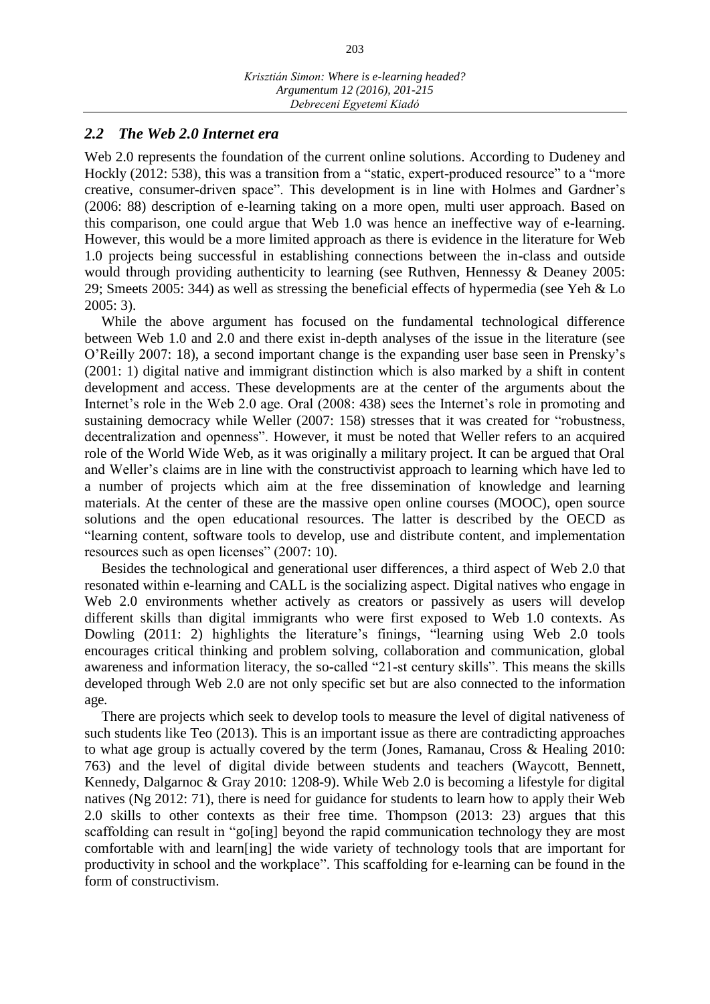#### *2.2 The Web 2.0 Internet era*

Web 2.0 represents the foundation of the current online solutions. According to Dudeney and Hockly (2012: 538), this was a transition from a "static, expert-produced resource" to a "more creative, consumer-driven space". This development is in line with Holmes and Gardner's (2006: 88) description of e-learning taking on a more open, multi user approach. Based on this comparison, one could argue that Web 1.0 was hence an ineffective way of e-learning. However, this would be a more limited approach as there is evidence in the literature for Web 1.0 projects being successful in establishing connections between the in-class and outside would through providing authenticity to learning (see Ruthven, Hennessy & Deaney 2005: 29; Smeets 2005: 344) as well as stressing the beneficial effects of hypermedia (see Yeh & Lo 2005: 3).

While the above argument has focused on the fundamental technological difference between Web 1.0 and 2.0 and there exist in-depth analyses of the issue in the literature (see O'Reilly 2007: 18), a second important change is the expanding user base seen in Prensky's (2001: 1) digital native and immigrant distinction which is also marked by a shift in content development and access. These developments are at the center of the arguments about the Internet's role in the Web 2.0 age. Oral (2008: 438) sees the Internet's role in promoting and sustaining democracy while Weller (2007: 158) stresses that it was created for "robustness, decentralization and openness". However, it must be noted that Weller refers to an acquired role of the World Wide Web, as it was originally a military project. It can be argued that Oral and Weller's claims are in line with the constructivist approach to learning which have led to a number of projects which aim at the free dissemination of knowledge and learning materials. At the center of these are the massive open online courses (MOOC), open source solutions and the open educational resources. The latter is described by the OECD as "learning content, software tools to develop, use and distribute content, and implementation resources such as open licenses" (2007: 10).

Besides the technological and generational user differences, a third aspect of Web 2.0 that resonated within e-learning and CALL is the socializing aspect. Digital natives who engage in Web 2.0 environments whether actively as creators or passively as users will develop different skills than digital immigrants who were first exposed to Web 1.0 contexts. As Dowling (2011: 2) highlights the literature's finings, "learning using Web 2.0 tools encourages critical thinking and problem solving, collaboration and communication, global awareness and information literacy, the so-called "21-st century skills". This means the skills developed through Web 2.0 are not only specific set but are also connected to the information age.

There are projects which seek to develop tools to measure the level of digital nativeness of such students like Teo (2013). This is an important issue as there are contradicting approaches to what age group is actually covered by the term (Jones, Ramanau, Cross & Healing 2010: 763) and the level of digital divide between students and teachers (Waycott, Bennett, Kennedy, Dalgarnoc & Gray 2010: 1208-9). While Web 2.0 is becoming a lifestyle for digital natives (Ng 2012: 71), there is need for guidance for students to learn how to apply their Web 2.0 skills to other contexts as their free time. Thompson (2013: 23) argues that this scaffolding can result in "go[ing] beyond the rapid communication technology they are most comfortable with and learn[ing] the wide variety of technology tools that are important for productivity in school and the workplace". This scaffolding for e-learning can be found in the form of constructivism.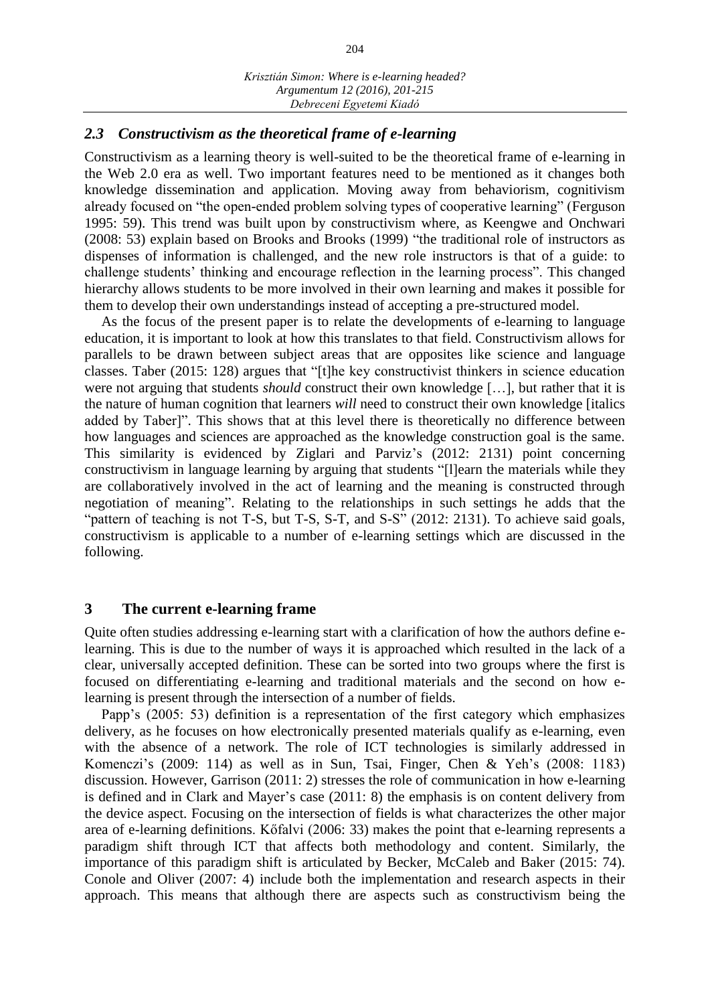#### *2.3 Constructivism as the theoretical frame of e-learning*

Constructivism as a learning theory is well-suited to be the theoretical frame of e-learning in the Web 2.0 era as well. Two important features need to be mentioned as it changes both knowledge dissemination and application. Moving away from behaviorism, cognitivism already focused on "the open-ended problem solving types of cooperative learning" (Ferguson 1995: 59). This trend was built upon by constructivism where, as Keengwe and Onchwari (2008: 53) explain based on Brooks and Brooks (1999) "the traditional role of instructors as dispenses of information is challenged, and the new role instructors is that of a guide: to challenge students' thinking and encourage reflection in the learning process". This changed hierarchy allows students to be more involved in their own learning and makes it possible for them to develop their own understandings instead of accepting a pre-structured model.

As the focus of the present paper is to relate the developments of e-learning to language education, it is important to look at how this translates to that field. Constructivism allows for parallels to be drawn between subject areas that are opposites like science and language classes. Taber (2015: 128) argues that "[t]he key constructivist thinkers in science education were not arguing that students *should* construct their own knowledge […], but rather that it is the nature of human cognition that learners *will* need to construct their own knowledge [italics added by Taber]". This shows that at this level there is theoretically no difference between how languages and sciences are approached as the knowledge construction goal is the same. This similarity is evidenced by Ziglari and Parviz's (2012: 2131) point concerning constructivism in language learning by arguing that students "[l]earn the materials while they are collaboratively involved in the act of learning and the meaning is constructed through negotiation of meaning". Relating to the relationships in such settings he adds that the "pattern of teaching is not T-S, but T-S, S-T, and S-S" (2012: 2131). To achieve said goals, constructivism is applicable to a number of e-learning settings which are discussed in the following.

#### **3 The current e-learning frame**

Quite often studies addressing e-learning start with a clarification of how the authors define elearning. This is due to the number of ways it is approached which resulted in the lack of a clear, universally accepted definition. These can be sorted into two groups where the first is focused on differentiating e-learning and traditional materials and the second on how elearning is present through the intersection of a number of fields.

Papp's (2005: 53) definition is a representation of the first category which emphasizes delivery, as he focuses on how electronically presented materials qualify as e-learning, even with the absence of a network. The role of ICT technologies is similarly addressed in Komenczi's (2009: 114) as well as in Sun, Tsai, Finger, Chen & Yeh's (2008: 1183) discussion. However, Garrison (2011: 2) stresses the role of communication in how e-learning is defined and in Clark and Mayer's case (2011: 8) the emphasis is on content delivery from the device aspect. Focusing on the intersection of fields is what characterizes the other major area of e-learning definitions. Kőfalvi (2006: 33) makes the point that e-learning represents a paradigm shift through ICT that affects both methodology and content. Similarly, the importance of this paradigm shift is articulated by Becker, McCaleb and Baker (2015: 74). Conole and Oliver (2007: 4) include both the implementation and research aspects in their approach. This means that although there are aspects such as constructivism being the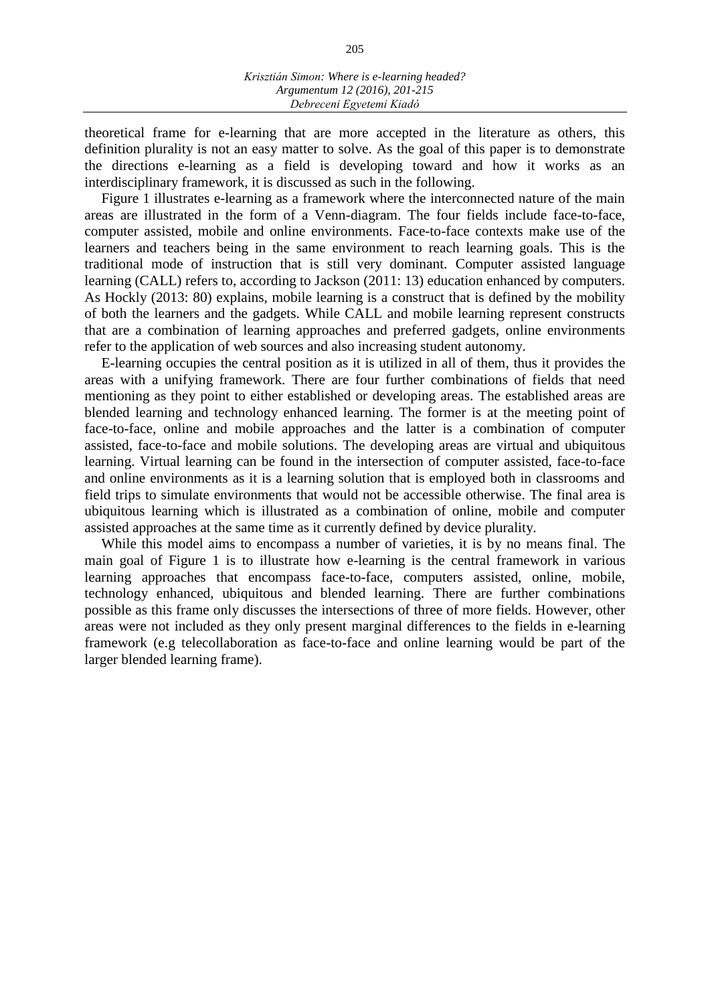theoretical frame for e-learning that are more accepted in the literature as others, this definition plurality is not an easy matter to solve. As the goal of this paper is to demonstrate the directions e-learning as a field is developing toward and how it works as an interdisciplinary framework, it is discussed as such in the following.

Figure 1 illustrates e-learning as a framework where the interconnected nature of the main areas are illustrated in the form of a Venn-diagram. The four fields include face-to-face, computer assisted, mobile and online environments. Face-to-face contexts make use of the learners and teachers being in the same environment to reach learning goals. This is the traditional mode of instruction that is still very dominant. Computer assisted language learning (CALL) refers to, according to Jackson (2011: 13) education enhanced by computers. As Hockly (2013: 80) explains, mobile learning is a construct that is defined by the mobility of both the learners and the gadgets. While CALL and mobile learning represent constructs that are a combination of learning approaches and preferred gadgets, online environments refer to the application of web sources and also increasing student autonomy.

E-learning occupies the central position as it is utilized in all of them, thus it provides the areas with a unifying framework. There are four further combinations of fields that need mentioning as they point to either established or developing areas. The established areas are blended learning and technology enhanced learning. The former is at the meeting point of face-to-face, online and mobile approaches and the latter is a combination of computer assisted, face-to-face and mobile solutions. The developing areas are virtual and ubiquitous learning. Virtual learning can be found in the intersection of computer assisted, face-to-face and online environments as it is a learning solution that is employed both in classrooms and field trips to simulate environments that would not be accessible otherwise. The final area is ubiquitous learning which is illustrated as a combination of online, mobile and computer assisted approaches at the same time as it currently defined by device plurality.

While this model aims to encompass a number of varieties, it is by no means final. The main goal of Figure 1 is to illustrate how e-learning is the central framework in various learning approaches that encompass face-to-face, computers assisted, online, mobile, technology enhanced, ubiquitous and blended learning. There are further combinations possible as this frame only discusses the intersections of three of more fields. However, other areas were not included as they only present marginal differences to the fields in e-learning framework (e.g telecollaboration as face-to-face and online learning would be part of the larger blended learning frame).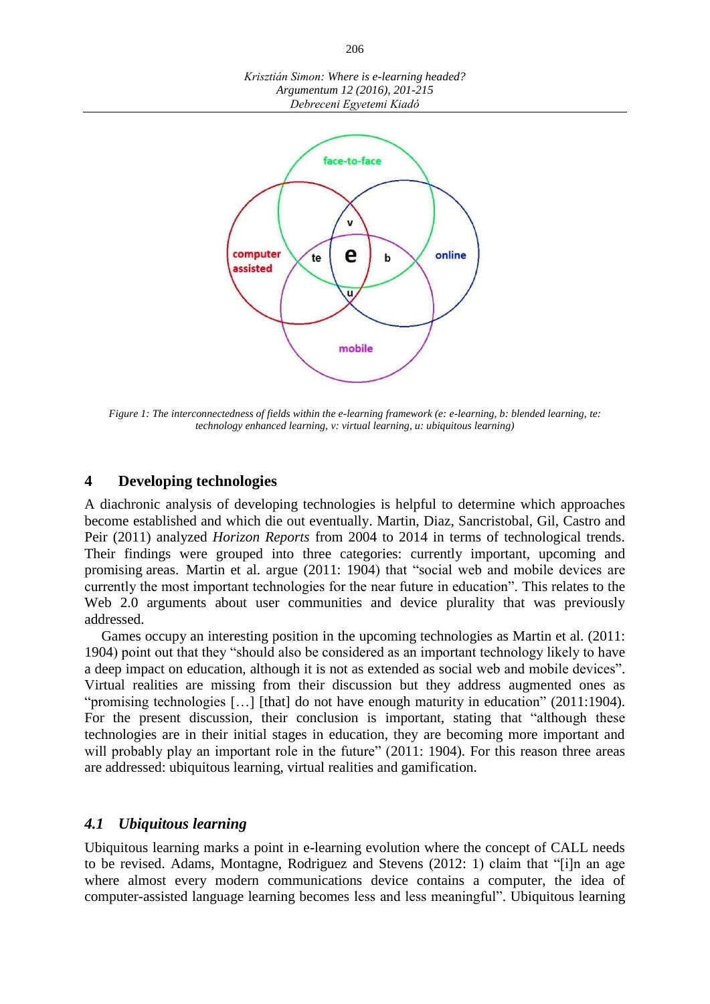



*Figure 1: The interconnectedness of fields within the e-learning framework (e: e-learning, b: blended learning, te: technology enhanced learning, v: virtual learning, u: ubiquitous learning)*

#### **4 Developing technologies**

A diachronic analysis of developing technologies is helpful to determine which approaches become established and which die out eventually. Martin, Diaz, Sancristobal, Gil, Castro and Peir (2011) analyzed *Horizon Reports* from 2004 to 2014 in terms of technological trends. Their findings were grouped into three categories: currently important, upcoming and promising areas. Martin et al. argue (2011: 1904) that "social web and mobile devices are currently the most important technologies for the near future in education". This relates to the Web 2.0 arguments about user communities and device plurality that was previously addressed.

Games occupy an interesting position in the upcoming technologies as Martin et al. (2011: 1904) point out that they "should also be considered as an important technology likely to have a deep impact on education, although it is not as extended as social web and mobile devices". Virtual realities are missing from their discussion but they address augmented ones as "promising technologies […] [that] do not have enough maturity in education" (2011:1904). For the present discussion, their conclusion is important, stating that "although these technologies are in their initial stages in education, they are becoming more important and will probably play an important role in the future" (2011: 1904). For this reason three areas are addressed: ubiquitous learning, virtual realities and gamification.

#### *4.1 Ubiquitous learning*

Ubiquitous learning marks a point in e-learning evolution where the concept of CALL needs to be revised. Adams, Montagne, Rodriguez and Stevens (2012: 1) claim that "[i]n an age where almost every modern communications device contains a computer, the idea of computer-assisted language learning becomes less and less meaningful". Ubiquitous learning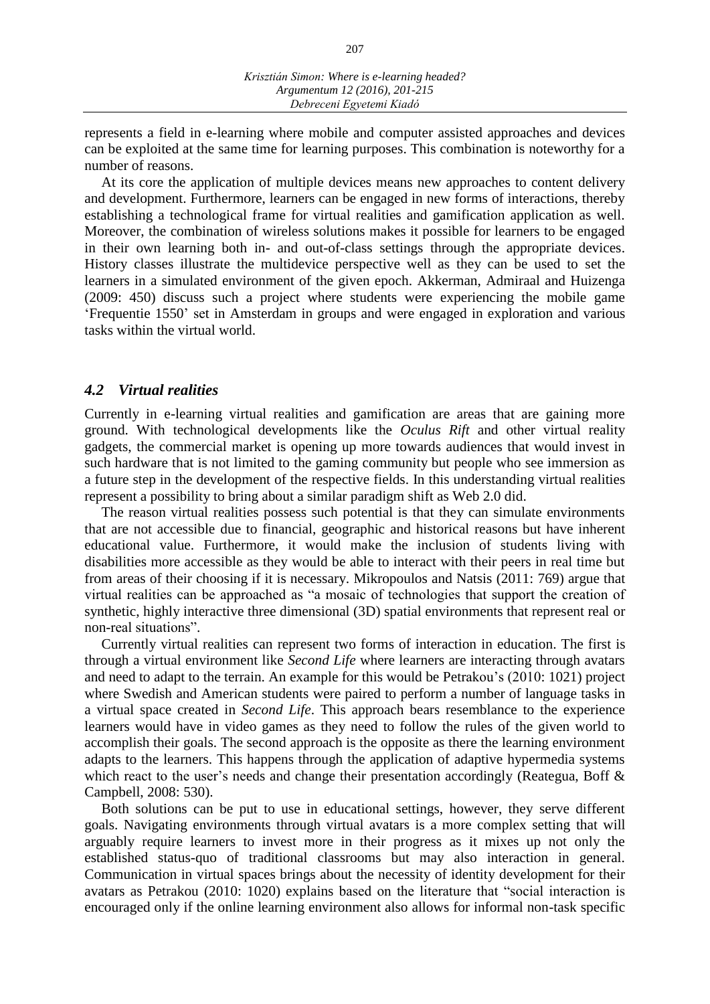represents a field in e-learning where mobile and computer assisted approaches and devices can be exploited at the same time for learning purposes. This combination is noteworthy for a number of reasons.

At its core the application of multiple devices means new approaches to content delivery and development. Furthermore, learners can be engaged in new forms of interactions, thereby establishing a technological frame for virtual realities and gamification application as well. Moreover, the combination of wireless solutions makes it possible for learners to be engaged in their own learning both in- and out-of-class settings through the appropriate devices. History classes illustrate the multidevice perspective well as they can be used to set the learners in a simulated environment of the given epoch. Akkerman, Admiraal and Huizenga (2009: 450) discuss such a project where students were experiencing the mobile game 'Frequentie 1550' set in Amsterdam in groups and were engaged in exploration and various tasks within the virtual world.

#### *4.2 Virtual realities*

Currently in e-learning virtual realities and gamification are areas that are gaining more ground. With technological developments like the *Oculus Rift* and other virtual reality gadgets, the commercial market is opening up more towards audiences that would invest in such hardware that is not limited to the gaming community but people who see immersion as a future step in the development of the respective fields. In this understanding virtual realities represent a possibility to bring about a similar paradigm shift as Web 2.0 did.

The reason virtual realities possess such potential is that they can simulate environments that are not accessible due to financial, geographic and historical reasons but have inherent educational value. Furthermore, it would make the inclusion of students living with disabilities more accessible as they would be able to interact with their peers in real time but from areas of their choosing if it is necessary. Mikropoulos and Natsis (2011: 769) argue that virtual realities can be approached as "a mosaic of technologies that support the creation of synthetic, highly interactive three dimensional (3D) spatial environments that represent real or non-real situations".

Currently virtual realities can represent two forms of interaction in education. The first is through a virtual environment like *Second Life* where learners are interacting through avatars and need to adapt to the terrain. An example for this would be Petrakou's (2010: 1021) project where Swedish and American students were paired to perform a number of language tasks in a virtual space created in *Second Life*. This approach bears resemblance to the experience learners would have in video games as they need to follow the rules of the given world to accomplish their goals. The second approach is the opposite as there the learning environment adapts to the learners. This happens through the application of adaptive hypermedia systems which react to the user's needs and change their presentation accordingly (Reategua, Boff & Campbell, 2008: 530).

Both solutions can be put to use in educational settings, however, they serve different goals. Navigating environments through virtual avatars is a more complex setting that will arguably require learners to invest more in their progress as it mixes up not only the established status-quo of traditional classrooms but may also interaction in general. Communication in virtual spaces brings about the necessity of identity development for their avatars as Petrakou (2010: 1020) explains based on the literature that "social interaction is encouraged only if the online learning environment also allows for informal non-task specific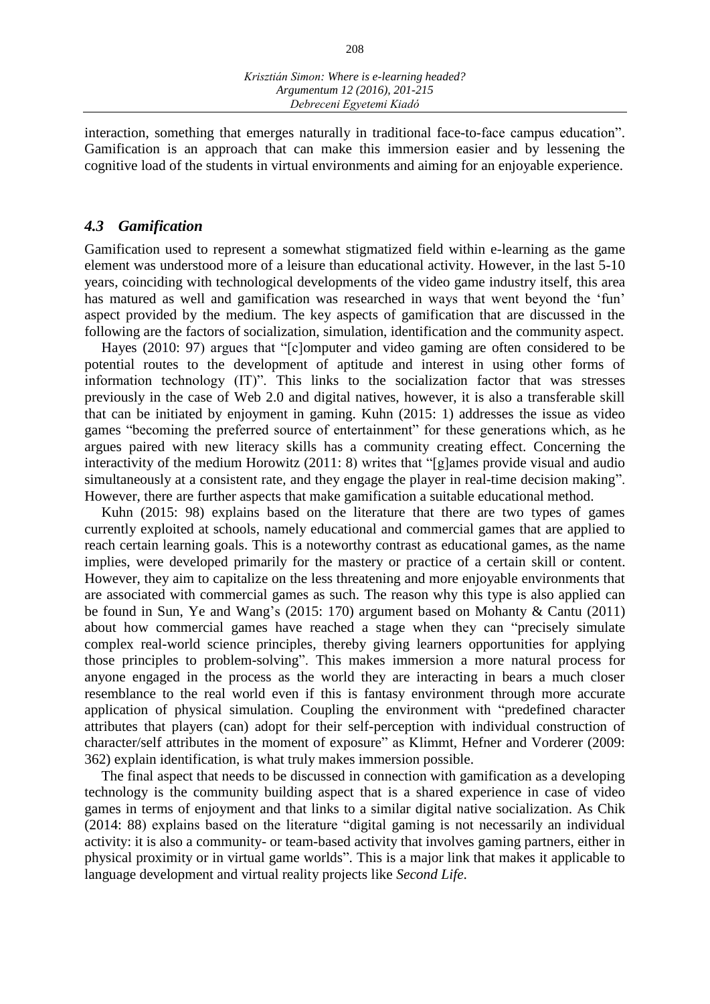interaction, something that emerges naturally in traditional face-to-face campus education". Gamification is an approach that can make this immersion easier and by lessening the cognitive load of the students in virtual environments and aiming for an enjoyable experience.

#### *4.3 Gamification*

Gamification used to represent a somewhat stigmatized field within e-learning as the game element was understood more of a leisure than educational activity. However, in the last 5-10 years, coinciding with technological developments of the video game industry itself, this area has matured as well and gamification was researched in ways that went beyond the 'fun' aspect provided by the medium. The key aspects of gamification that are discussed in the following are the factors of socialization, simulation, identification and the community aspect.

Hayes (2010: 97) argues that "[c]omputer and video gaming are often considered to be potential routes to the development of aptitude and interest in using other forms of information technology (IT)". This links to the socialization factor that was stresses previously in the case of Web 2.0 and digital natives, however, it is also a transferable skill that can be initiated by enjoyment in gaming. Kuhn (2015: 1) addresses the issue as video games "becoming the preferred source of entertainment" for these generations which, as he argues paired with new literacy skills has a community creating effect. Concerning the interactivity of the medium Horowitz (2011: 8) writes that "[g]ames provide visual and audio simultaneously at a consistent rate, and they engage the player in real-time decision making". However, there are further aspects that make gamification a suitable educational method.

Kuhn (2015: 98) explains based on the literature that there are two types of games currently exploited at schools, namely educational and commercial games that are applied to reach certain learning goals. This is a noteworthy contrast as educational games, as the name implies, were developed primarily for the mastery or practice of a certain skill or content. However, they aim to capitalize on the less threatening and more enjoyable environments that are associated with commercial games as such. The reason why this type is also applied can be found in Sun, Ye and Wang's (2015: 170) argument based on Mohanty & Cantu (2011) about how commercial games have reached a stage when they can "precisely simulate complex real-world science principles, thereby giving learners opportunities for applying those principles to problem-solving". This makes immersion a more natural process for anyone engaged in the process as the world they are interacting in bears a much closer resemblance to the real world even if this is fantasy environment through more accurate application of physical simulation. Coupling the environment with "predefined character attributes that players (can) adopt for their self-perception with individual construction of character/self attributes in the moment of exposure" as Klimmt, Hefner and Vorderer (2009: 362) explain identification, is what truly makes immersion possible.

The final aspect that needs to be discussed in connection with gamification as a developing technology is the community building aspect that is a shared experience in case of video games in terms of enjoyment and that links to a similar digital native socialization. As Chik (2014: 88) explains based on the literature "digital gaming is not necessarily an individual activity: it is also a community- or team-based activity that involves gaming partners, either in physical proximity or in virtual game worlds". This is a major link that makes it applicable to language development and virtual reality projects like *Second Life*.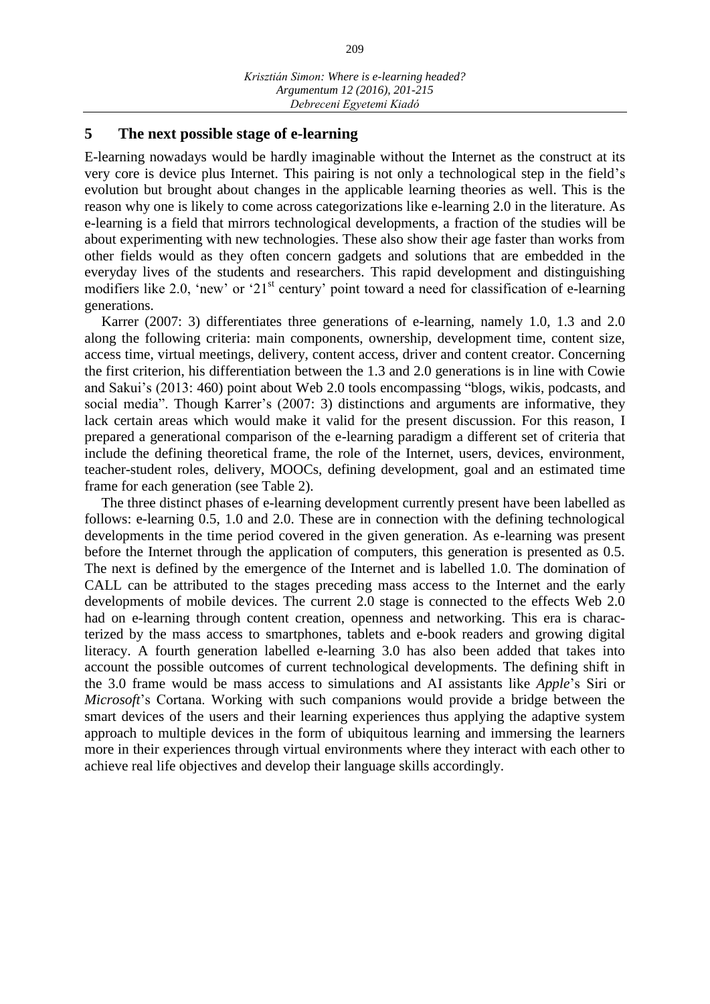#### **5 The next possible stage of e-learning**

E-learning nowadays would be hardly imaginable without the Internet as the construct at its very core is device plus Internet. This pairing is not only a technological step in the field's evolution but brought about changes in the applicable learning theories as well. This is the reason why one is likely to come across categorizations like e-learning 2.0 in the literature. As e-learning is a field that mirrors technological developments, a fraction of the studies will be about experimenting with new technologies. These also show their age faster than works from other fields would as they often concern gadgets and solutions that are embedded in the everyday lives of the students and researchers. This rapid development and distinguishing modifiers like 2.0, 'new' or '21<sup>st</sup> century' point toward a need for classification of e-learning generations.

Karrer (2007: 3) differentiates three generations of e-learning, namely 1.0, 1.3 and 2.0 along the following criteria: main components, ownership, development time, content size, access time, virtual meetings, delivery, content access, driver and content creator. Concerning the first criterion, his differentiation between the 1.3 and 2.0 generations is in line with Cowie and Sakui's (2013: 460) point about Web 2.0 tools encompassing "blogs, wikis, podcasts, and social media". Though Karrer's (2007: 3) distinctions and arguments are informative, they lack certain areas which would make it valid for the present discussion. For this reason, I prepared a generational comparison of the e-learning paradigm a different set of criteria that include the defining theoretical frame, the role of the Internet, users, devices, environment, teacher-student roles, delivery, MOOCs, defining development, goal and an estimated time frame for each generation (see Table 2).

The three distinct phases of e-learning development currently present have been labelled as follows: e-learning 0.5, 1.0 and 2.0. These are in connection with the defining technological developments in the time period covered in the given generation. As e-learning was present before the Internet through the application of computers, this generation is presented as 0.5. The next is defined by the emergence of the Internet and is labelled 1.0. The domination of CALL can be attributed to the stages preceding mass access to the Internet and the early developments of mobile devices. The current 2.0 stage is connected to the effects Web 2.0 had on e-learning through content creation, openness and networking. This era is characterized by the mass access to smartphones, tablets and e-book readers and growing digital literacy. A fourth generation labelled e-learning 3.0 has also been added that takes into account the possible outcomes of current technological developments. The defining shift in the 3.0 frame would be mass access to simulations and AI assistants like *Apple*'s Siri or *Microsoft*'s Cortana. Working with such companions would provide a bridge between the smart devices of the users and their learning experiences thus applying the adaptive system approach to multiple devices in the form of ubiquitous learning and immersing the learners more in their experiences through virtual environments where they interact with each other to achieve real life objectives and develop their language skills accordingly.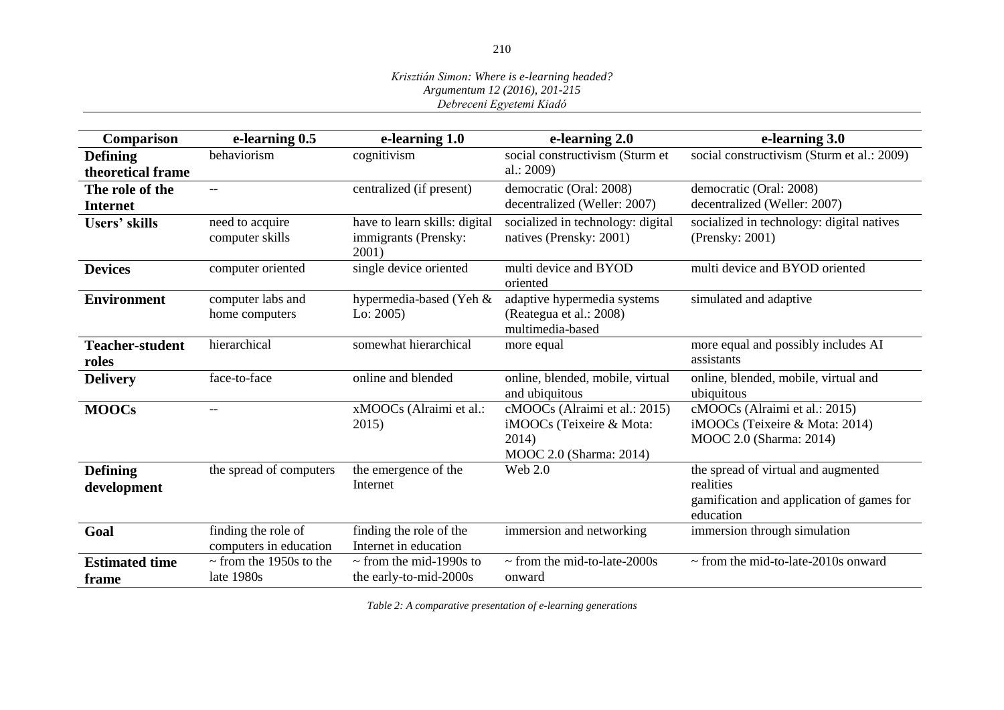#### *Krisztián Simon: Where is e-learning headed? Argumentum 12 (2016), 201-215 Debreceni Egyetemi Kiadó*

| Comparison                           | e-learning 0.5                                | e-learning 1.0                                                 | e-learning 2.0                                                                                | e-learning 3.0                                                                                             |
|--------------------------------------|-----------------------------------------------|----------------------------------------------------------------|-----------------------------------------------------------------------------------------------|------------------------------------------------------------------------------------------------------------|
| <b>Defining</b><br>theoretical frame | behaviorism                                   | cognitivism                                                    | social constructivism (Sturm et<br>al.: $2009$ )                                              | social constructivism (Sturm et al.: 2009)                                                                 |
| The role of the<br>Internet          | $--$                                          | centralized (if present)                                       | democratic (Oral: 2008)<br>decentralized (Weller: 2007)                                       | democratic (Oral: 2008)<br>decentralized (Weller: 2007)                                                    |
| <b>Users' skills</b>                 | need to acquire<br>computer skills            | have to learn skills: digital<br>immigrants (Prensky:<br>2001) | socialized in technology: digital<br>natives (Prensky: 2001)                                  | socialized in technology: digital natives<br>(Prensky: 2001)                                               |
| <b>Devices</b>                       | computer oriented                             | single device oriented                                         | multi device and BYOD<br>oriented                                                             | multi device and BYOD oriented                                                                             |
| <b>Environment</b>                   | computer labs and<br>home computers           | hypermedia-based (Yeh &<br>Lo: $2005$ )                        | adaptive hypermedia systems<br>(Reategua et al.: 2008)<br>multimedia-based                    | simulated and adaptive                                                                                     |
| <b>Teacher-student</b><br>roles      | hierarchical                                  | somewhat hierarchical                                          | more equal                                                                                    | more equal and possibly includes AI<br>assistants                                                          |
| <b>Delivery</b>                      | face-to-face                                  | online and blended                                             | online, blended, mobile, virtual<br>and ubiquitous                                            | online, blended, mobile, virtual and<br>ubiquitous                                                         |
| <b>MOOCs</b>                         |                                               | xMOOCs (Alraimi et al.:<br>2015)                               | cMOOCs (Alraimi et al.: 2015)<br>iMOOCs (Teixeire & Mota:<br>2014)<br>MOOC 2.0 (Sharma: 2014) | cMOOCs (Alraimi et al.: 2015)<br>iMOOCs (Teixeire & Mota: 2014)<br>MOOC 2.0 (Sharma: 2014)                 |
| <b>Defining</b><br>development       | the spread of computers                       | the emergence of the<br>Internet                               | Web 2.0                                                                                       | the spread of virtual and augmented<br>realities<br>gamification and application of games for<br>education |
| Goal                                 | finding the role of<br>computers in education | finding the role of the<br>Internet in education               | immersion and networking                                                                      | immersion through simulation                                                                               |
| <b>Estimated time</b><br>frame       | $\sim$ from the 1950s to the<br>late 1980s    | $\sim$ from the mid-1990s to<br>the early-to-mid-2000s         | $\sim$ from the mid-to-late-2000s<br>onward                                                   | $\sim$ from the mid-to-late-2010s onward                                                                   |

*Table 2: A comparative presentation of e-learning generations*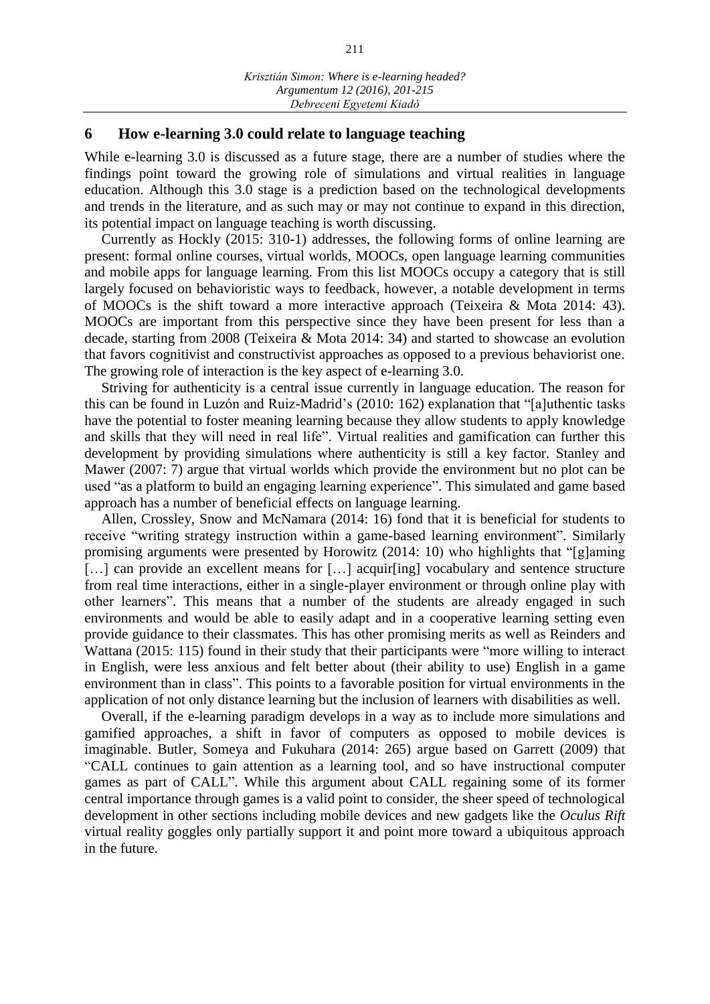## **6 How e-learning 3.0 could relate to language teaching**

While e-learning 3.0 is discussed as a future stage, there are a number of studies where the findings point toward the growing role of simulations and virtual realities in language education. Although this 3.0 stage is a prediction based on the technological developments and trends in the literature, and as such may or may not continue to expand in this direction, its potential impact on language teaching is worth discussing.

Currently as Hockly (2015: 310-1) addresses, the following forms of online learning are present: formal online courses, virtual worlds, MOOCs, open language learning communities and mobile apps for language learning. From this list MOOCs occupy a category that is still largely focused on behavioristic ways to feedback, however, a notable development in terms of MOOCs is the shift toward a more interactive approach (Teixeira & Mota 2014: 43). MOOCs are important from this perspective since they have been present for less than a decade, starting from 2008 (Teixeira & Mota 2014: 34) and started to showcase an evolution that favors cognitivist and constructivist approaches as opposed to a previous behaviorist one. The growing role of interaction is the key aspect of e-learning 3.0.

Striving for authenticity is a central issue currently in language education. The reason for this can be found in Luzón and Ruiz-Madrid's (2010: 162) explanation that "[a]uthentic tasks have the potential to foster meaning learning because they allow students to apply knowledge and skills that they will need in real life". Virtual realities and gamification can further this development by providing simulations where authenticity is still a key factor. Stanley and Mawer (2007: 7) argue that virtual worlds which provide the environment but no plot can be used "as a platform to build an engaging learning experience". This simulated and game based approach has a number of beneficial effects on language learning.

Allen, Crossley, Snow and McNamara (2014: 16) fond that it is beneficial for students to receive "writing strategy instruction within a game-based learning environment". Similarly promising arguments were presented by Horowitz (2014: 10) who highlights that "[g]aming [...] can provide an excellent means for [...] acquir[ing] vocabulary and sentence structure from real time interactions, either in a single-player environment or through online play with other learners". This means that a number of the students are already engaged in such environments and would be able to easily adapt and in a cooperative learning setting even provide guidance to their classmates. This has other promising merits as well as Reinders and Wattana (2015: 115) found in their study that their participants were "more willing to interact in English, were less anxious and felt better about (their ability to use) English in a game environment than in class". This points to a favorable position for virtual environments in the application of not only distance learning but the inclusion of learners with disabilities as well.

Overall, if the e-learning paradigm develops in a way as to include more simulations and gamified approaches, a shift in favor of computers as opposed to mobile devices is imaginable. Butler, Someya and Fukuhara (2014: 265) argue based on Garrett (2009) that "CALL continues to gain attention as a learning tool, and so have instructional computer games as part of CALL". While this argument about CALL regaining some of its former central importance through games is a valid point to consider, the sheer speed of technological development in other sections including mobile devices and new gadgets like the *Oculus Rift* virtual reality goggles only partially support it and point more toward a ubiquitous approach in the future.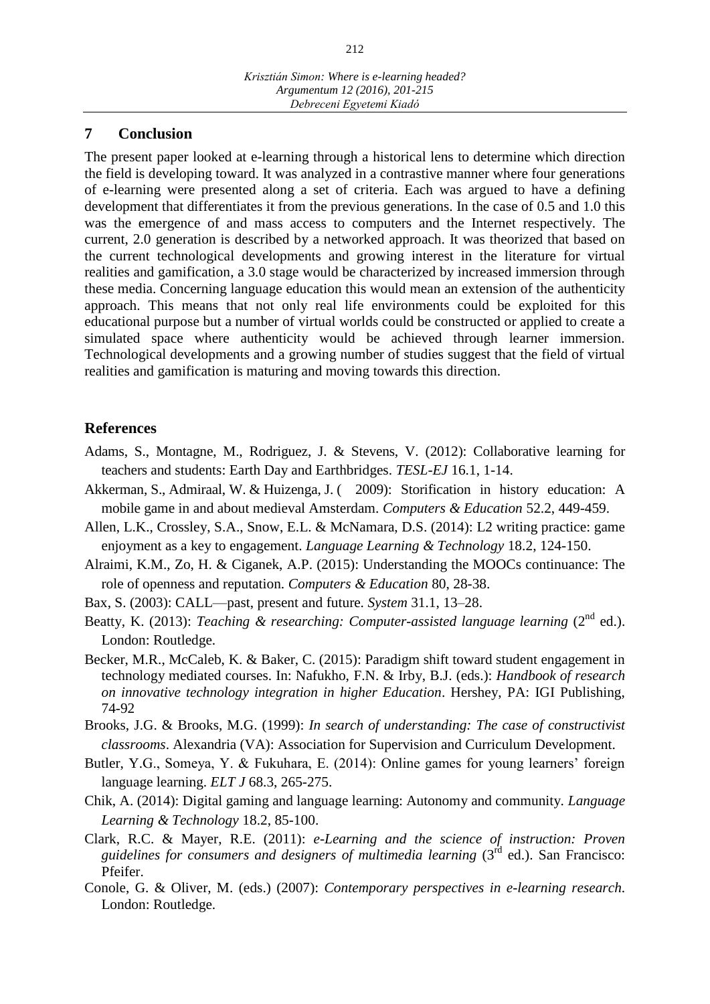### **7 Conclusion**

The present paper looked at e-learning through a historical lens to determine which direction the field is developing toward. It was analyzed in a contrastive manner where four generations of e-learning were presented along a set of criteria. Each was argued to have a defining development that differentiates it from the previous generations. In the case of 0.5 and 1.0 this was the emergence of and mass access to computers and the Internet respectively. The current, 2.0 generation is described by a networked approach. It was theorized that based on the current technological developments and growing interest in the literature for virtual realities and gamification, a 3.0 stage would be characterized by increased immersion through these media. Concerning language education this would mean an extension of the authenticity approach. This means that not only real life environments could be exploited for this educational purpose but a number of virtual worlds could be constructed or applied to create a simulated space where authenticity would be achieved through learner immersion. Technological developments and a growing number of studies suggest that the field of virtual realities and gamification is maturing and moving towards this direction.

## **References**

- Adams, S., Montagne, M., Rodriguez, J. & Stevens, V. (2012): Collaborative learning for teachers and students: Earth Day and Earthbridges. *TESL-EJ* 16.1, 1-14.
- Akkerman, S., Admiraal, W. & Huizenga, J. ( 2009): Storification in history education: A mobile game in and about medieval Amsterdam. *Computers & Education* 52.2, 449-459.
- Allen, L.K., Crossley, S.A., Snow, E.L. & McNamara, D.S. (2014): L2 writing practice: game enjoyment as a key to engagement. *Language Learning & Technology* 18.2, 124-150.
- Alraimi, K.M., Zo, H. & Ciganek, A.P. (2015): Understanding the MOOCs continuance: The role of openness and reputation. *Computers & Education* 80, 28-38.
- Bax, S. (2003): CALL—past, present and future. *System* 31.1, 13–28.
- Beatty, K. (2013): *Teaching & researching: Computer-assisted language learning* (2<sup>nd</sup> ed.). London: Routledge.
- Becker, M.R., McCaleb, K. & Baker, C. (2015): Paradigm shift toward student engagement in technology mediated courses. In: Nafukho, F.N. & Irby, B.J. (eds.): *Handbook of research on innovative technology integration in higher Education*. Hershey, PA: IGI Publishing, 74-92
- Brooks, J.G. & Brooks, M.G. (1999): *In search of understanding: The case of constructivist classrooms*. Alexandria (VA): Association for Supervision and Curriculum Development.
- Butler, Y.G., Someya, Y. & Fukuhara, E. (2014): Online games for young learners' foreign language learning. *ELT J* 68.3, 265-275.
- Chik, A. (2014): Digital gaming and language learning: Autonomy and community. *Language Learning & Technology* 18.2, 85-100.
- Clark, R.C. & Mayer, R.E. (2011): *e-Learning and the science of instruction: Proven guidelines for consumers and designers of multimedia learning* (3rd ed.). San Francisco: Pfeifer.
- Conole, G. & Oliver, M. (eds.) (2007): *Contemporary perspectives in e-learning research*. London: Routledge.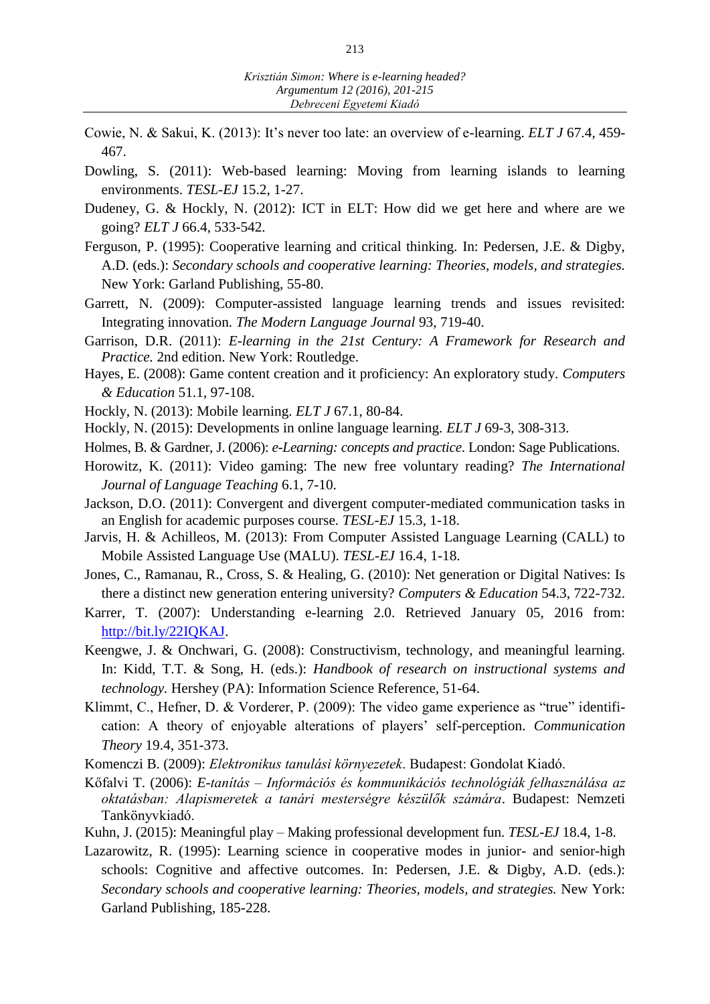- Cowie, N. & Sakui, K. (2013): It's never too late: an overview of e-learning. *ELT J* 67.4, 459- 467.
- Dowling, S. (2011): Web-based learning: Moving from learning islands to learning environments. *TESL-EJ* 15.2, 1-27.
- Dudeney, G. & Hockly, N. (2012): ICT in ELT: How did we get here and where are we going? *ELT J* 66.4, 533-542.
- Ferguson, P. (1995): Cooperative learning and critical thinking. In: Pedersen, J.E. & Digby, A.D. (eds.): *Secondary schools and cooperative learning: Theories, models, and strategies.*  New York: Garland Publishing, 55-80.
- Garrett, N. (2009): Computer-assisted language learning trends and issues revisited: Integrating innovation. *The Modern Language Journal* 93, 719-40.
- Garrison, D.R. (2011): *E-learning in the 21st Century: A Framework for Research and Practice.* 2nd edition. New York: Routledge.
- Hayes, E. (2008): Game content creation and it proficiency: An exploratory study. *Computers & Education* 51.1, 97-108.
- Hockly, N. (2013): Mobile learning. *ELT J* 67.1, 80-84.
- Hockly, N. (2015): Developments in online language learning. *ELT J* 69-3, 308-313.
- Holmes, B. & Gardner, J. (2006): *e-Learning: concepts and practice*. London: Sage Publications.
- Horowitz, K. (2011): Video gaming: The new free voluntary reading? *The International Journal of Language Teaching* 6.1, 7-10.
- Jackson, D.O. (2011): Convergent and divergent computer-mediated communication tasks in an English for academic purposes course. *TESL-EJ* 15.3, 1-18.
- Jarvis, H. & Achilleos, M. (2013): From Computer Assisted Language Learning (CALL) to Mobile Assisted Language Use (MALU). *TESL-EJ* 16.4, 1-18.
- Jones, C., Ramanau, R., Cross, S. & Healing, G. (2010): Net generation or Digital Natives: Is there a distinct new generation entering university? *Computers & Education* 54.3, 722-732.
- Karrer, T. (2007): Understanding e-learning 2.0. Retrieved January 05, 2016 from: [http://bit.ly/22IQKAJ.](http://bit.ly/22IQKAJ)
- Keengwe, J. & Onchwari, G. (2008): Constructivism, technology, and meaningful learning. In: Kidd, T.T. & Song, H. (eds.): *Handbook of research on instructional systems and technology.* Hershey (PA): Information Science Reference, 51-64.
- Klimmt, C., Hefner, D. & Vorderer, P. (2009): The video game experience as "true" identification: A theory of enjoyable alterations of players' self-perception. *Communication Theory* 19.4, 351-373.
- Komenczi B. (2009): *Elektronikus tanulási környezetek*. Budapest: Gondolat Kiadó.
- Kőfalvi T. (2006): *E-tanítás – Információs és kommunikációs technológiák felhasználása az oktatásban: Alapismeretek a tanári mesterségre készülők számára*. Budapest: Nemzeti Tankönyvkiadó.
- Kuhn, J. (2015): Meaningful play Making professional development fun. *TESL-EJ* 18.4, 1-8.
- Lazarowitz, R. (1995): Learning science in cooperative modes in junior- and senior-high schools: Cognitive and affective outcomes. In: Pedersen, J.E. & Digby, A.D. (eds.): *Secondary schools and cooperative learning: Theories, models, and strategies.* New York: Garland Publishing, 185-228.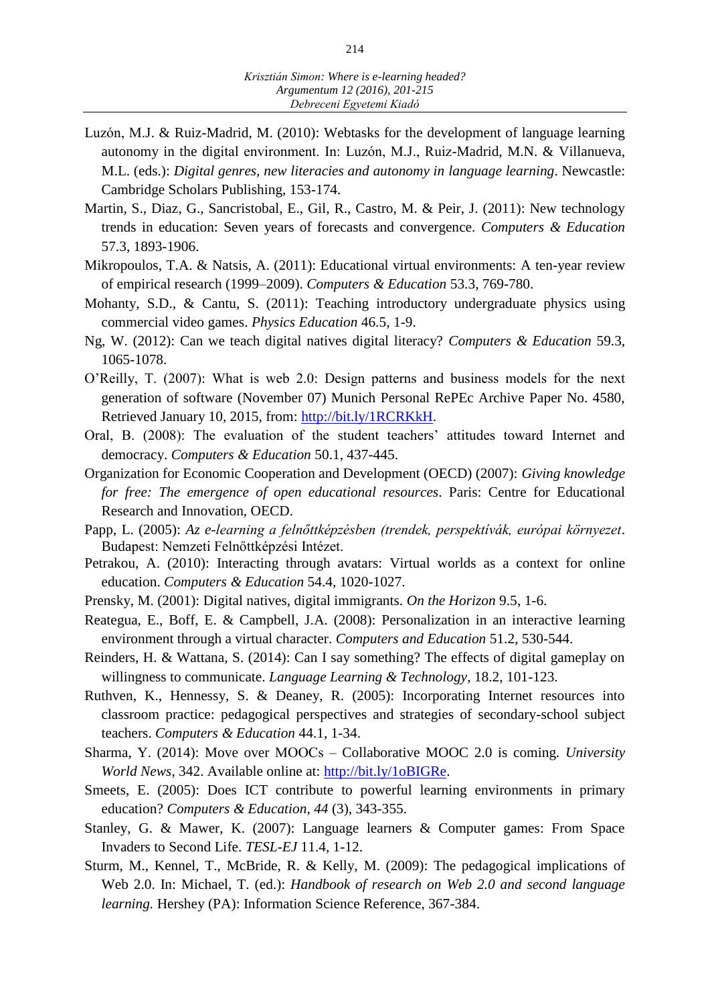- Luzón, M.J. & Ruiz-Madrid, M. (2010): Webtasks for the development of language learning autonomy in the digital environment. In: Luzón, M.J., Ruiz-Madrid, M.N. & Villanueva, M.L. (eds.): *Digital genres, new literacies and autonomy in language learning*. Newcastle: Cambridge Scholars Publishing, 153-174.
- Martin, S., Diaz, G., Sancristobal, E., Gil, R., Castro, M. & Peir, J. (2011): New technology trends in education: Seven years of forecasts and convergence. *Computers & Education* 57.3, 1893-1906.
- Mikropoulos, T.A. & Natsis, A. (2011): Educational virtual environments: A ten-year review of empirical research (1999–2009). *Computers & Education* 53.3, 769-780.
- Mohanty, S.D., & Cantu, S. (2011): Teaching introductory undergraduate physics using commercial video games. *Physics Education* 46.5, 1-9.
- Ng, W. (2012): Can we teach digital natives digital literacy? *Computers & Education* 59.3, 1065-1078.
- O'Reilly, T. (2007): What is web 2.0: Design patterns and business models for the next generation of software (November 07) Munich Personal RePEc Archive Paper No. 4580, Retrieved January 10, 2015, from: [http://bit.ly/1RCRKkH.](http://bit.ly/1RCRKkH)
- Oral, B. (2008): The evaluation of the student teachers' attitudes toward Internet and democracy. *Computers & Education* 50.1, 437-445.
- Organization for Economic Cooperation and Development (OECD) (2007): *Giving knowledge for free: The emergence of open educational resources*. Paris: Centre for Educational Research and Innovation, OECD.
- Papp, L. (2005): *Az e-learning a felnőttképzésben (trendek, perspektívák, európai környezet*. Budapest: Nemzeti Felnőttképzési Intézet.
- Petrakou, A. (2010): Interacting through avatars: Virtual worlds as a context for online education. *Computers & Education* 54.4, 1020-1027.
- Prensky, M. (2001): Digital natives, digital immigrants. *On the Horizon* 9.5, 1-6.
- Reategua, E., Boff, E. & Campbell, J.A. (2008): Personalization in an interactive learning environment through a virtual character. *Computers and Education* 51.2, 530-544.
- Reinders, H. & Wattana, S. (2014): Can I say something? The effects of digital gameplay on willingness to communicate. *Language Learning & Technology*, 18.2, 101-123.
- Ruthven, K., Hennessy, S. & Deaney, R. (2005): Incorporating Internet resources into classroom practice: pedagogical perspectives and strategies of secondary-school subject teachers. *Computers & Education* 44.1, 1-34.
- Sharma, Y. (2014): Move over MOOCs ‒ Collaborative MOOC 2.0 is coming. *University World News*, 342. Available online at: [http://bit.ly/1oBIGRe.](http://bit.ly/1oBIGRe)
- Smeets, E. (2005): Does ICT contribute to powerful learning environments in primary education? *Computers & Education*, *44* (3), 343-355.
- Stanley, G. & Mawer, K. (2007): Language learners & Computer games: From Space Invaders to Second Life. *TESL-EJ* 11.4, 1-12.
- Sturm, M., Kennel, T., McBride, R. & Kelly, M. (2009): The pedagogical implications of Web 2.0. In: Michael, T. (ed.): *Handbook of research on Web 2.0 and second language learning.* Hershey (PA): Information Science Reference, 367-384.